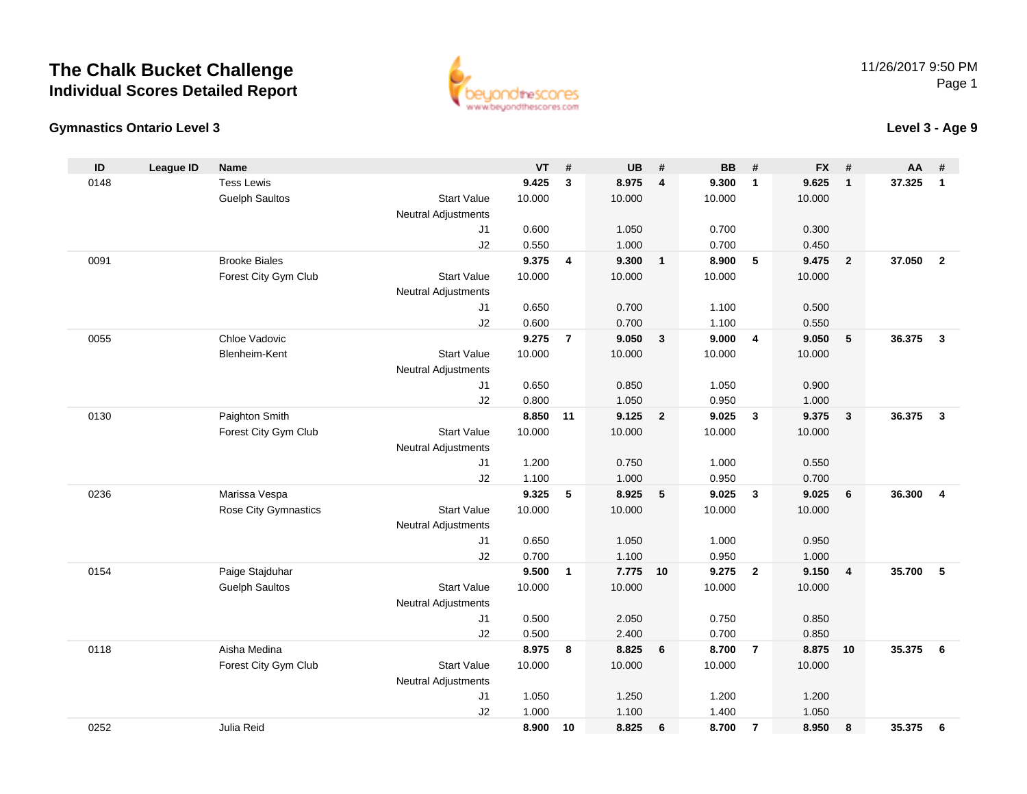

### **Gymnastics Ontario Level 3**

**Level 3 - Age 9**

| ID   | <b>League ID</b> | <b>Name</b>                 |                            | <b>VT</b> | #              | <b>UB</b> | #                       | <b>BB</b> | #                       | <b>FX</b> | #                       | <b>AA</b> | #                       |
|------|------------------|-----------------------------|----------------------------|-----------|----------------|-----------|-------------------------|-----------|-------------------------|-----------|-------------------------|-----------|-------------------------|
| 0148 |                  | <b>Tess Lewis</b>           |                            | 9.425     | $\mathbf{3}$   | 8.975     | $\overline{4}$          | 9.300     | $\mathbf{1}$            | 9.625     | $\mathbf{1}$            | 37.325    | $\mathbf{1}$            |
|      |                  | <b>Guelph Saultos</b>       | <b>Start Value</b>         | 10.000    |                | 10.000    |                         | 10.000    |                         | 10.000    |                         |           |                         |
|      |                  |                             | <b>Neutral Adjustments</b> |           |                |           |                         |           |                         |           |                         |           |                         |
|      |                  |                             | J <sub>1</sub>             | 0.600     |                | 1.050     |                         | 0.700     |                         | 0.300     |                         |           |                         |
|      |                  |                             | J2                         | 0.550     |                | 1.000     |                         | 0.700     |                         | 0.450     |                         |           |                         |
| 0091 |                  | <b>Brooke Biales</b>        |                            | 9.375     | $\overline{4}$ | 9.300     | $\overline{1}$          | 8.900     | 5                       | 9.475     | $\overline{2}$          | 37.050    | $\overline{2}$          |
|      |                  | Forest City Gym Club        | <b>Start Value</b>         | 10.000    |                | 10.000    |                         | 10.000    |                         | 10.000    |                         |           |                         |
|      |                  |                             | <b>Neutral Adjustments</b> |           |                |           |                         |           |                         |           |                         |           |                         |
|      |                  |                             | J1                         | 0.650     |                | 0.700     |                         | 1.100     |                         | 0.500     |                         |           |                         |
|      |                  |                             | J2                         | 0.600     |                | 0.700     |                         | 1.100     |                         | 0.550     |                         |           |                         |
| 0055 |                  | Chloe Vadovic               |                            | 9.275     | $\overline{7}$ | 9.050     | $\overline{\mathbf{3}}$ | 9.000     | $\overline{4}$          | 9.050     | 5                       | 36.375    | $\mathbf{3}$            |
|      |                  | Blenheim-Kent               | <b>Start Value</b>         | 10.000    |                | 10.000    |                         | 10.000    |                         | 10.000    |                         |           |                         |
|      |                  |                             | <b>Neutral Adjustments</b> |           |                |           |                         |           |                         |           |                         |           |                         |
|      |                  |                             | J <sub>1</sub>             | 0.650     |                | 0.850     |                         | 1.050     |                         | 0.900     |                         |           |                         |
|      |                  |                             | J2                         | 0.800     |                | 1.050     |                         | 0.950     |                         | 1.000     |                         |           |                         |
| 0130 |                  | Paighton Smith              |                            | 8.850     | 11             | 9.125     | $\overline{\mathbf{2}}$ | 9.025     | $\overline{\mathbf{3}}$ | 9.375     | $\overline{\mathbf{3}}$ | 36.375    | $\overline{\mathbf{3}}$ |
|      |                  | Forest City Gym Club        | <b>Start Value</b>         | 10.000    |                | 10.000    |                         | 10.000    |                         | 10.000    |                         |           |                         |
|      |                  |                             | <b>Neutral Adjustments</b> |           |                |           |                         |           |                         |           |                         |           |                         |
|      |                  |                             | J1                         | 1.200     |                | 0.750     |                         | 1.000     |                         | 0.550     |                         |           |                         |
|      |                  |                             | J2                         | 1.100     |                | 1.000     |                         | 0.950     |                         | 0.700     |                         |           |                         |
| 0236 |                  | Marissa Vespa               |                            | 9.325     | 5              | 8.925     | 5                       | 9.025     | $\overline{\mathbf{3}}$ | 9.025     | 6                       | 36.300    | $\overline{4}$          |
|      |                  | <b>Rose City Gymnastics</b> | <b>Start Value</b>         | 10.000    |                | 10.000    |                         | 10.000    |                         | 10.000    |                         |           |                         |
|      |                  |                             | <b>Neutral Adjustments</b> |           |                |           |                         |           |                         |           |                         |           |                         |
|      |                  |                             | J <sub>1</sub>             | 0.650     |                | 1.050     |                         | 1.000     |                         | 0.950     |                         |           |                         |
|      |                  |                             | J2                         | 0.700     |                | 1.100     |                         | 0.950     |                         | 1.000     |                         |           |                         |
| 0154 |                  | Paige Stajduhar             |                            | 9.500     | $\mathbf{1}$   | 7.775     | 10                      | 9.275     | $\overline{2}$          | 9.150     | $\overline{4}$          | 35.700    | 5                       |
|      |                  | <b>Guelph Saultos</b>       | <b>Start Value</b>         | 10.000    |                | 10.000    |                         | 10.000    |                         | 10.000    |                         |           |                         |
|      |                  |                             | <b>Neutral Adjustments</b> |           |                |           |                         |           |                         |           |                         |           |                         |
|      |                  |                             | J1                         | 0.500     |                | 2.050     |                         | 0.750     |                         | 0.850     |                         |           |                         |
|      |                  |                             | J2                         | 0.500     |                | 2.400     |                         | 0.700     |                         | 0.850     |                         |           |                         |
| 0118 |                  | Aisha Medina                |                            | 8.975     | 8              | 8.825     | $6\phantom{1}6$         | 8.700     | $\overline{7}$          | 8.875     | 10                      | 35.375    | 6                       |
|      |                  | Forest City Gym Club        | <b>Start Value</b>         | 10.000    |                | 10.000    |                         | 10.000    |                         | 10.000    |                         |           |                         |
|      |                  |                             | <b>Neutral Adjustments</b> |           |                |           |                         |           |                         |           |                         |           |                         |
|      |                  |                             | J1                         | 1.050     |                | 1.250     |                         | 1.200     |                         | 1.200     |                         |           |                         |
|      |                  |                             | J2                         | 1.000     |                | 1.100     |                         | 1.400     |                         | 1.050     |                         |           |                         |
| 0252 |                  | Julia Reid                  |                            | 8.900     | 10             | 8.825     | $6\phantom{1}6$         | 8.700     | $\overline{7}$          | 8.950     | 8                       | 35.375    | 6                       |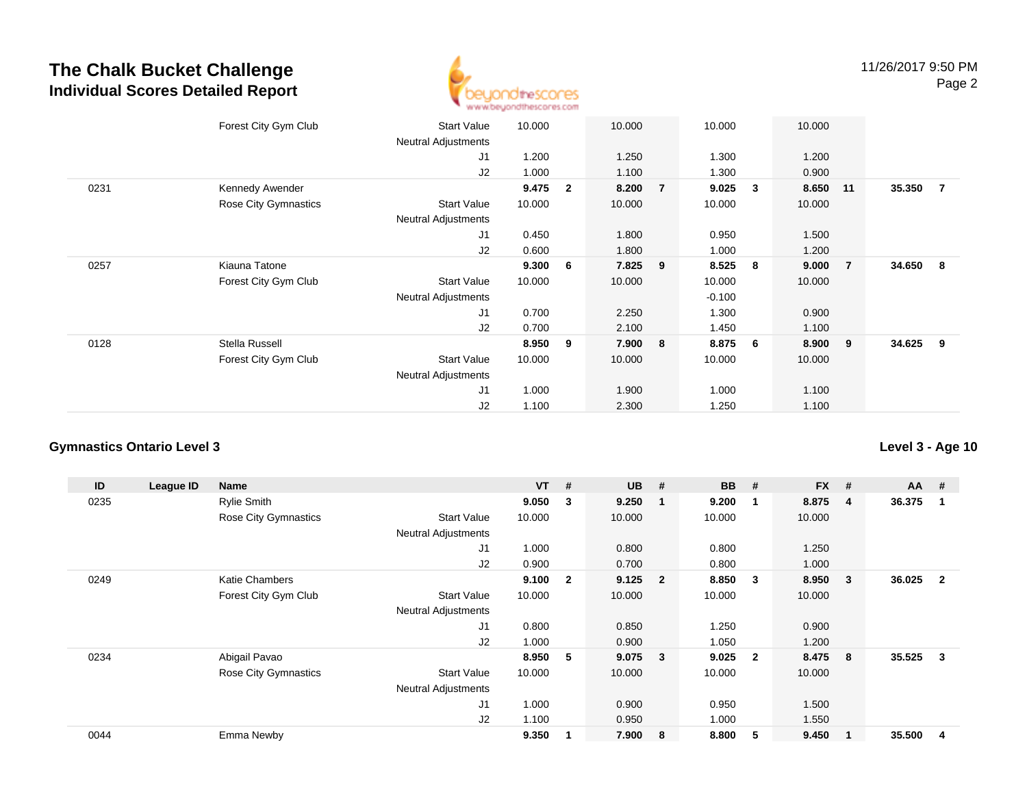

|      | Forest City Gym Club | <b>Start Value</b><br><b>Neutral Adjustments</b> | 10.000 |              | 10.000  |                | 10.000   |   | 10.000 |                |          |                |
|------|----------------------|--------------------------------------------------|--------|--------------|---------|----------------|----------|---|--------|----------------|----------|----------------|
|      |                      |                                                  |        |              |         |                |          |   |        |                |          |                |
|      |                      | J1                                               | 1.200  |              | 1.250   |                | 1.300    |   | 1.200  |                |          |                |
|      |                      | J2                                               | 1.000  |              | 1.100   |                | 1.300    |   | 0.900  |                |          |                |
| 0231 | Kennedy Awender      |                                                  | 9.475  | $\mathbf{2}$ | 8.200   | $\overline{7}$ | 9.025    | 3 | 8.650  | 11             | 35.350   | $\overline{7}$ |
|      | Rose City Gymnastics | <b>Start Value</b>                               | 10.000 |              | 10.000  |                | 10.000   |   | 10.000 |                |          |                |
|      |                      | <b>Neutral Adjustments</b>                       |        |              |         |                |          |   |        |                |          |                |
|      |                      | J1                                               | 0.450  |              | 1.800   |                | 0.950    |   | 1.500  |                |          |                |
|      |                      | J2                                               | 0.600  |              | 1.800   |                | 1.000    |   | 1.200  |                |          |                |
| 0257 | Kiauna Tatone        |                                                  | 9.300  | 6            | 7.825 9 |                | 8.525    | 8 | 9.000  | $\overline{7}$ | 34.650 8 |                |
|      | Forest City Gym Club | <b>Start Value</b>                               | 10.000 |              | 10.000  |                | 10.000   |   | 10.000 |                |          |                |
|      |                      | <b>Neutral Adjustments</b>                       |        |              |         |                | $-0.100$ |   |        |                |          |                |
|      |                      | J1                                               | 0.700  |              | 2.250   |                | 1.300    |   | 0.900  |                |          |                |
|      |                      | J2                                               | 0.700  |              | 2.100   |                | 1.450    |   | 1.100  |                |          |                |
| 0128 | Stella Russell       |                                                  | 8.950  | 9            | 7.900   | 8              | 8.875    | 6 | 8.900  | 9              | 34.625   | - 9            |
|      | Forest City Gym Club | <b>Start Value</b>                               | 10.000 |              | 10.000  |                | 10.000   |   | 10.000 |                |          |                |
|      |                      | <b>Neutral Adjustments</b>                       |        |              |         |                |          |   |        |                |          |                |
|      |                      | J <sub>1</sub>                                   | 1.000  |              | 1.900   |                | 1.000    |   | 1.100  |                |          |                |
|      |                      | J2                                               | 1.100  |              | 2.300   |                | 1.250    |   | 1.100  |                |          |                |
|      |                      |                                                  |        |              |         |                |          |   |        |                |          |                |

#### **Gymnastics Ontario Level 3**

**ID League ID Name VT # UB # BB # FX # AA #** 0235 Rylie Smith **9.050 <sup>3</sup> 9.250 <sup>1</sup> 9.200 <sup>1</sup> 8.875 <sup>4</sup> 36.375 <sup>1</sup>** Rose City Gymnastics Start Valuee 10.000 10.000 10.000 10.000 Neutral Adjustments J1 1.000 0.800 0.800 1.250 J2 0.900 0.700 0.800 1.000 0249 Katie Chambers **9.100 <sup>2</sup> 9.125 <sup>2</sup> 8.850 <sup>3</sup> 8.950 <sup>3</sup> 36.025 <sup>2</sup>** Forest City Gym Club Start Value 10.000 10.000 10.000 10.000 Neutral Adjustments J1 0.800 0.850 1.250 0.900 J2 1.000 0.900 1.050 1.200 0234 Abigail Pavao **8.950 <sup>5</sup> 9.075 <sup>3</sup> 9.025 <sup>2</sup> 8.475 <sup>8</sup> 35.525 <sup>3</sup>** Rose City Gymnastics Start Valuee 10.000 10.000 10.000 10.000 Neutral Adjustments J1 1.000 0.900 0.950 1.500 J2 1.100 0.950 1.000 1.550 0044Emma Newby **9.350 <sup>1</sup> 7.900 <sup>8</sup> 8.800 <sup>5</sup> 9.450 <sup>1</sup> 35.500 <sup>4</sup>**

**Level 3 - Age 10**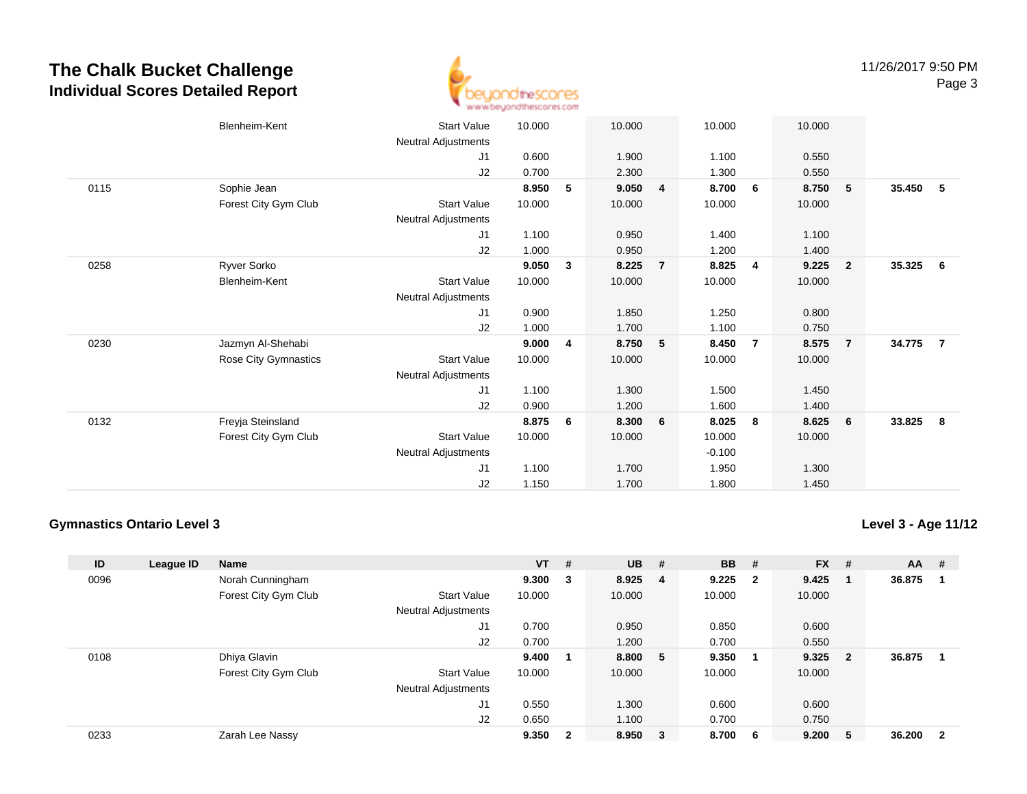

|      | Blenheim-Kent        | <b>Start Value</b>         | 10.000 |              | 10.000 |                | 10.000   |                | 10.000 |                         |        |                |
|------|----------------------|----------------------------|--------|--------------|--------|----------------|----------|----------------|--------|-------------------------|--------|----------------|
|      |                      | <b>Neutral Adjustments</b> |        |              |        |                |          |                |        |                         |        |                |
|      |                      | J1                         | 0.600  |              | 1.900  |                | 1.100    |                | 0.550  |                         |        |                |
|      |                      | J2                         | 0.700  |              | 2.300  |                | 1.300    |                | 0.550  |                         |        |                |
| 0115 | Sophie Jean          |                            | 8.950  | 5            | 9.050  | $\overline{4}$ | 8.700    | - 6            | 8.750  | - 5                     | 35.450 | 5              |
|      | Forest City Gym Club | Start Value                | 10.000 |              | 10.000 |                | 10.000   |                | 10.000 |                         |        |                |
|      |                      | Neutral Adjustments        |        |              |        |                |          |                |        |                         |        |                |
|      |                      | J1                         | 1.100  |              | 0.950  |                | 1.400    |                | 1.100  |                         |        |                |
|      |                      | J2                         | 1.000  |              | 0.950  |                | 1.200    |                | 1.400  |                         |        |                |
| 0258 | Ryver Sorko          |                            | 9.050  | $\mathbf{3}$ | 8.225  | $\overline{7}$ | 8.825    | 4              | 9.225  | $\overline{\mathbf{2}}$ | 35.325 | 6              |
|      | Blenheim-Kent        | <b>Start Value</b>         | 10.000 |              | 10.000 |                | 10.000   |                | 10.000 |                         |        |                |
|      |                      | Neutral Adjustments        |        |              |        |                |          |                |        |                         |        |                |
|      |                      | J1                         | 0.900  |              | 1.850  |                | 1.250    |                | 0.800  |                         |        |                |
|      |                      | J2                         | 1.000  |              | 1.700  |                | 1.100    |                | 0.750  |                         |        |                |
| 0230 | Jazmyn Al-Shehabi    |                            | 9.000  | 4            | 8.750  | 5              | 8.450    | $\overline{7}$ | 8.575  | $\blacksquare$          | 34.775 | $\overline{7}$ |
|      | Rose City Gymnastics | <b>Start Value</b>         | 10.000 |              | 10.000 |                | 10.000   |                | 10.000 |                         |        |                |
|      |                      | Neutral Adjustments        |        |              |        |                |          |                |        |                         |        |                |
|      |                      | J1                         | 1.100  |              | 1.300  |                | 1.500    |                | 1.450  |                         |        |                |
|      |                      | J2                         | 0.900  |              | 1.200  |                | 1.600    |                | 1.400  |                         |        |                |
| 0132 | Freyja Steinsland    |                            | 8.875  | -6           | 8.300  | 6              | 8.025    | - 8            | 8.625  | 6                       | 33.825 | 8              |
|      | Forest City Gym Club | <b>Start Value</b>         | 10.000 |              | 10.000 |                | 10.000   |                | 10.000 |                         |        |                |
|      |                      | <b>Neutral Adjustments</b> |        |              |        |                | $-0.100$ |                |        |                         |        |                |
|      |                      | J <sub>1</sub>             | 1.100  |              | 1.700  |                | 1.950    |                | 1.300  |                         |        |                |
|      |                      | J2                         | 1.150  |              | 1.700  |                | 1.800    |                | 1.450  |                         |        |                |
|      |                      |                            |        |              |        |                |          |                |        |                         |        |                |

#### **Gymnastics Ontario Level 3**

**Level 3 - Age 11/12**

| ID   | League ID | Name                 |                            | $VT$ # |                | <b>UB</b> | #                       | <b>BB</b> | #                       | <b>FX</b> | #                       | <b>AA</b> | #            |
|------|-----------|----------------------|----------------------------|--------|----------------|-----------|-------------------------|-----------|-------------------------|-----------|-------------------------|-----------|--------------|
| 0096 |           | Norah Cunningham     |                            | 9.300  | 3              | 8.925     | - 4                     | 9.225     | $\overline{\mathbf{2}}$ | 9.425     |                         | 36.875    |              |
|      |           | Forest City Gym Club | <b>Start Value</b>         | 10.000 |                | 10.000    |                         | 10.000    |                         | 10.000    |                         |           |              |
|      |           |                      | <b>Neutral Adjustments</b> |        |                |           |                         |           |                         |           |                         |           |              |
|      |           |                      | J1                         | 0.700  |                | 0.950     |                         | 0.850     |                         | 0.600     |                         |           |              |
|      |           |                      | J <sub>2</sub>             | 0.700  |                | 1.200     |                         | 0.700     |                         | 0.550     |                         |           |              |
| 0108 |           | Dhiya Glavin         |                            | 9.400  |                | 8.800     | - 5                     | 9.350     |                         | 9.325     | $\overline{\mathbf{2}}$ | 36.875    |              |
|      |           | Forest City Gym Club | <b>Start Value</b>         | 10.000 |                | 10.000    |                         | 10.000    |                         | 10.000    |                         |           |              |
|      |           |                      | <b>Neutral Adjustments</b> |        |                |           |                         |           |                         |           |                         |           |              |
|      |           |                      | J1                         | 0.550  |                | 1.300     |                         | 0.600     |                         | 0.600     |                         |           |              |
|      |           |                      | J <sub>2</sub>             | 0.650  |                | 1.100     |                         | 0.700     |                         | 0.750     |                         |           |              |
| 0233 |           | Zarah Lee Nassy      |                            | 9.350  | $\overline{2}$ | 8.950     | $\overline{\mathbf{3}}$ | 8.700     | - 6                     | 9.200     | 5                       | 36.200    | $\mathbf{2}$ |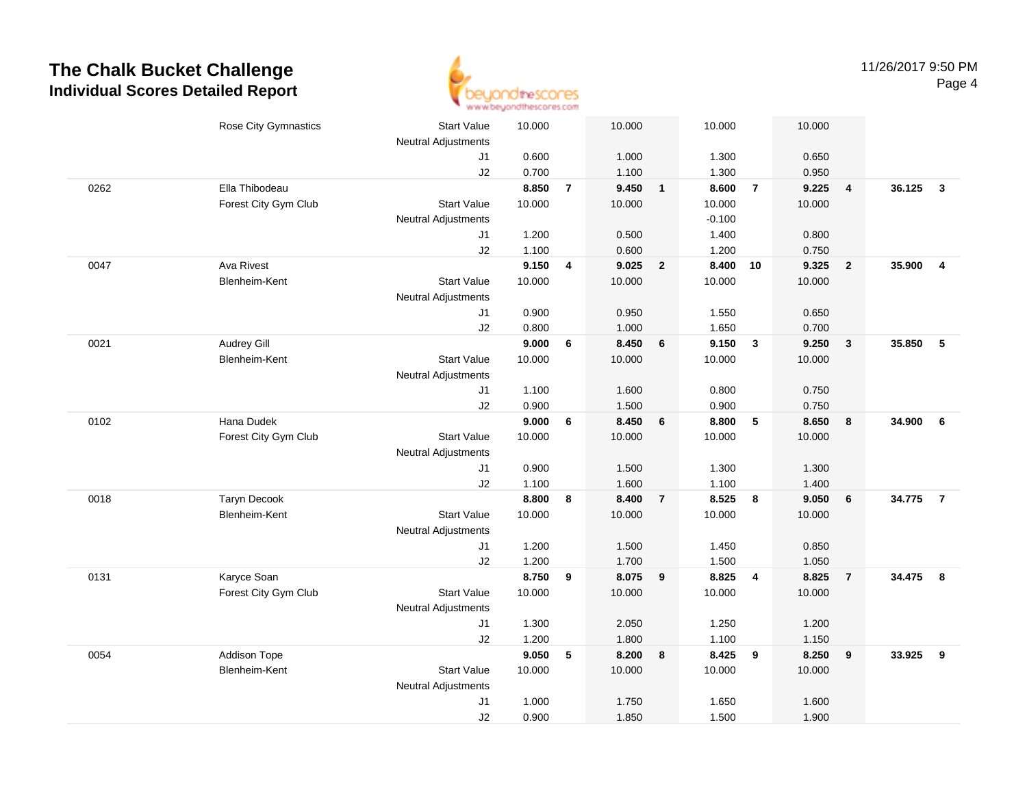

|      | Rose City Gymnastics | <b>Start Value</b>         | 10.000         |                | 10.000         |                         | 10.000         |                  | 10.000 |                         |        |                |
|------|----------------------|----------------------------|----------------|----------------|----------------|-------------------------|----------------|------------------|--------|-------------------------|--------|----------------|
|      |                      | <b>Neutral Adjustments</b> |                |                |                |                         |                |                  |        |                         |        |                |
|      |                      | J1                         | 0.600<br>0.700 |                | 1.000<br>1.100 |                         | 1.300<br>1.300 |                  | 0.650  |                         |        |                |
|      |                      | J2                         |                |                |                |                         |                | $\overline{7}$   | 0.950  |                         | 36.125 |                |
| 0262 | Ella Thibodeau       |                            | 8.850          | $\overline{7}$ | 9.450          | $\overline{\mathbf{1}}$ | 8.600          |                  | 9.225  | $\overline{\mathbf{4}}$ |        | $\mathbf{3}$   |
|      | Forest City Gym Club | <b>Start Value</b>         | 10.000         |                | 10.000         |                         | 10.000         |                  | 10.000 |                         |        |                |
|      |                      | <b>Neutral Adjustments</b> |                |                |                |                         | $-0.100$       |                  |        |                         |        |                |
|      |                      | J1                         | 1.200          |                | 0.500          |                         | 1.400          |                  | 0.800  |                         |        |                |
|      |                      | J2                         | 1.100          |                | 0.600          |                         | 1.200          |                  | 0.750  |                         |        |                |
| 0047 | <b>Ava Rivest</b>    |                            | 9.150          | 4              | 9.025          | $\overline{2}$          | 8.400          | 10               | 9.325  | $\overline{2}$          | 35.900 | $\overline{4}$ |
|      | <b>Blenheim-Kent</b> | <b>Start Value</b>         | 10.000         |                | 10.000         |                         | 10.000         |                  | 10.000 |                         |        |                |
|      |                      | <b>Neutral Adjustments</b> |                |                |                |                         |                |                  |        |                         |        |                |
|      |                      | J1                         | 0.900          |                | 0.950          |                         | 1.550          |                  | 0.650  |                         |        |                |
|      |                      | J2                         | 0.800          |                | 1.000          |                         | 1.650          |                  | 0.700  |                         |        |                |
| 0021 | <b>Audrey Gill</b>   |                            | 9.000          | 6              | 8.450          | 6                       | 9.150          | $\mathbf{3}$     | 9.250  | $\overline{\mathbf{3}}$ | 35.850 | 5              |
|      | <b>Blenheim-Kent</b> | <b>Start Value</b>         | 10.000         |                | 10.000         |                         | 10.000         |                  | 10.000 |                         |        |                |
|      |                      | <b>Neutral Adjustments</b> |                |                |                |                         |                |                  |        |                         |        |                |
|      |                      | J1                         | 1.100          |                | 1.600          |                         | 0.800          |                  | 0.750  |                         |        |                |
|      |                      | J2                         | 0.900          |                | 1.500          |                         | 0.900          |                  | 0.750  |                         |        |                |
| 0102 | Hana Dudek           |                            | 9.000          | 6              | 8.450          | 6                       | 8.800          | $5\phantom{1}$   | 8.650  | 8                       | 34.900 | 6              |
|      | Forest City Gym Club | <b>Start Value</b>         | 10.000         |                | 10.000         |                         | 10.000         |                  | 10.000 |                         |        |                |
|      |                      | <b>Neutral Adjustments</b> |                |                |                |                         |                |                  |        |                         |        |                |
|      |                      | J1                         | 0.900          |                | 1.500          |                         | 1.300          |                  | 1.300  |                         |        |                |
|      |                      | J2                         | 1.100          |                | 1.600          |                         | 1.100          |                  | 1.400  |                         |        |                |
| 0018 | <b>Taryn Decook</b>  |                            | 8.800          | 8              | 8.400          | $\overline{7}$          | 8.525          | $\boldsymbol{8}$ | 9.050  | 6                       | 34.775 | $\overline{7}$ |
|      | Blenheim-Kent        | <b>Start Value</b>         | 10.000         |                | 10.000         |                         | 10.000         |                  | 10.000 |                         |        |                |
|      |                      | <b>Neutral Adjustments</b> |                |                |                |                         |                |                  |        |                         |        |                |
|      |                      | J1                         | 1.200          |                | 1.500          |                         | 1.450          |                  | 0.850  |                         |        |                |
|      |                      | J2                         | 1.200          |                | 1.700          |                         | 1.500          |                  | 1.050  |                         |        |                |
| 0131 | Karyce Soan          |                            | 8.750          | 9              | 8.075          | $\overline{9}$          | 8.825          | $\overline{4}$   | 8.825  | $\overline{7}$          | 34.475 | 8              |
|      | Forest City Gym Club | <b>Start Value</b>         | 10.000         |                | 10.000         |                         | 10.000         |                  | 10.000 |                         |        |                |
|      |                      | <b>Neutral Adjustments</b> |                |                |                |                         |                |                  |        |                         |        |                |
|      |                      | J1                         | 1.300          |                | 2.050          |                         | 1.250          |                  | 1.200  |                         |        |                |
|      |                      | J2                         | 1.200          |                | 1.800          |                         | 1.100          |                  | 1.150  |                         |        |                |
| 0054 | Addison Tope         |                            | 9.050          | 5              | 8.200          | 8                       | 8.425          | 9                | 8.250  | 9                       | 33.925 | 9              |
|      | Blenheim-Kent        | <b>Start Value</b>         | 10.000         |                | 10.000         |                         | 10.000         |                  | 10.000 |                         |        |                |
|      |                      | <b>Neutral Adjustments</b> |                |                |                |                         |                |                  |        |                         |        |                |
|      |                      | J <sub>1</sub>             | 1.000          |                | 1.750          |                         | 1.650          |                  | 1.600  |                         |        |                |
|      |                      | J2                         | 0.900          |                | 1.850          |                         | 1.500          |                  | 1.900  |                         |        |                |
|      |                      |                            |                |                |                |                         |                |                  |        |                         |        |                |